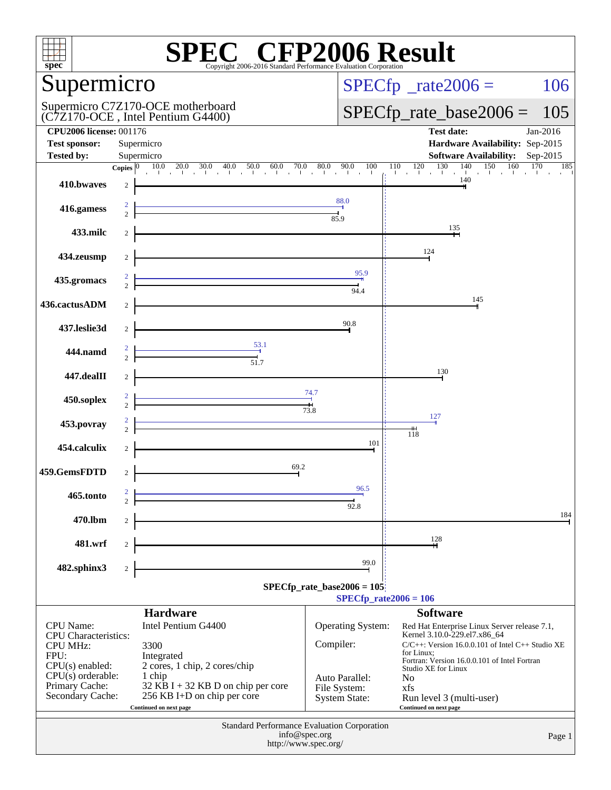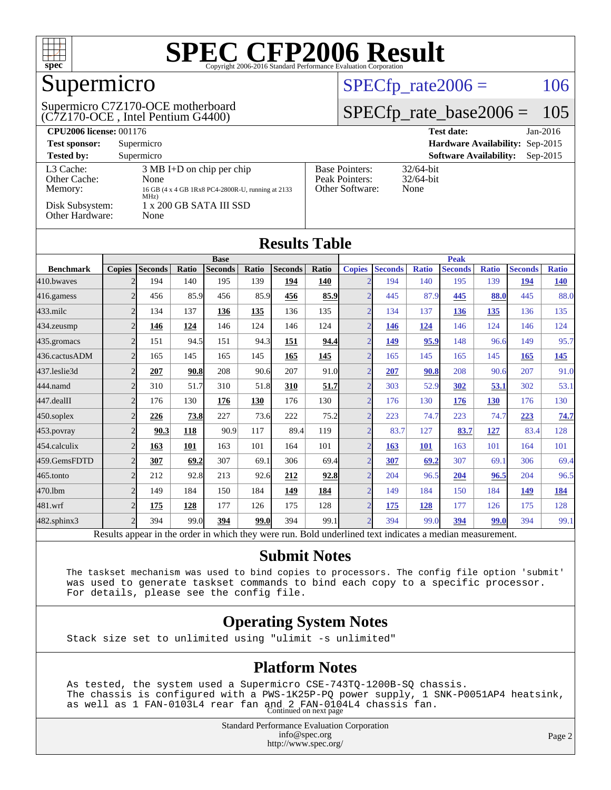

## Supermicro

#### (C7Z170-OCE , Intel Pentium G4400) Supermicro C7Z170-OCE motherboard

### $SPECfp_rate2006 = 106$  $SPECfp_rate2006 = 106$

### [SPECfp\\_rate\\_base2006 =](http://www.spec.org/auto/cpu2006/Docs/result-fields.html#SPECfpratebase2006) 105

| <b>CPU2006 license: 001176</b>       |                                                                                                          |                                                            | <b>Test date:</b><br>$Jan-2016$             |
|--------------------------------------|----------------------------------------------------------------------------------------------------------|------------------------------------------------------------|---------------------------------------------|
| <b>Test sponsor:</b>                 | Supermicro                                                                                               |                                                            | Hardware Availability: Sep-2015             |
| <b>Tested by:</b>                    | Supermicro                                                                                               |                                                            | <b>Software Availability:</b><br>$Sep-2015$ |
| L3 Cache:<br>Other Cache:<br>Memory: | $3 \text{ MB I+D}$ on chip per chip<br>None<br>16 GB (4 x 4 GB 1Rx8 PC4-2800R-U, running at 2133<br>MHz) | <b>Base Pointers:</b><br>Peak Pointers:<br>Other Software: | $32/64$ -bit<br>$32/64$ -bit<br>None        |
| Disk Subsystem:<br>Other Hardware:   | $1 \times 200$ GB SATA III SSD<br>None                                                                   |                                                            |                                             |

|                  |                |                |       |                |             | <b>Results Table</b> |       |                |                |              |                |              |                |              |
|------------------|----------------|----------------|-------|----------------|-------------|----------------------|-------|----------------|----------------|--------------|----------------|--------------|----------------|--------------|
|                  |                | <b>Base</b>    |       |                |             |                      |       | <b>Peak</b>    |                |              |                |              |                |              |
| <b>Benchmark</b> | <b>Copies</b>  | <b>Seconds</b> | Ratio | <b>Seconds</b> | Ratio       | <b>Seconds</b>       | Ratio | <b>Copies</b>  | <b>Seconds</b> | <b>Ratio</b> | <b>Seconds</b> | <b>Ratio</b> | <b>Seconds</b> | <b>Ratio</b> |
| 410.bwayes       | $\overline{2}$ | 194            | 140   | 195            | 139         | 194                  | 140   | $\overline{2}$ | 194            | 140          | 195            | 139          | 194            | <b>140</b>   |
| 416.gamess       | $\overline{2}$ | 456            | 85.9  | 456            | 85.9        | 456                  | 85.9  | $\overline{2}$ | 445            | 87.9         | 445            | 88.0         | 445            | 88.0         |
| $433$ .milc      | $\overline{2}$ | 134            | 137   | 136            | 135         | 136                  | 135   | $\overline{2}$ | 134            | 137          | 136            | 135          | 136            | 135          |
| 434.zeusmp       | $\overline{2}$ | 146            | 124   | 146            | 124         | 146                  | 124   | $\overline{2}$ | 146            | 124          | 146            | 124          | 146            | 124          |
| 435.gromacs      | $\overline{2}$ | 151            | 94.5  | 151            | 94.3        | 151                  | 94.4  | $\overline{2}$ | 149            | 95.9         | 148            | 96.6         | 149            | 95.7         |
| 436.cactusADM    | $\overline{2}$ | 165            | 145   | 165            | 145         | 165                  | 145   | $\overline{2}$ | 165            | 145          | 165            | 145          | 165            | <u>145</u>   |
| 437.leslie3d     | $\overline{2}$ | 207            | 90.8  | 208            | 90.6        | 207                  | 91.0  | $\overline{2}$ | 207            | 90.8         | 208            | 90.6         | 207            | 91.0         |
| 444.namd         | $\overline{2}$ | 310            | 51.7  | 310            | 51.8        | 310                  | 51.7  | $\overline{2}$ | 303            | 52.9         | 302            | 53.1         | 302            | 53.1         |
| 447.dealII       | $\overline{2}$ | 176            | 130   | 176            | 130         | 176                  | 130   | $\overline{2}$ | 176            | 130          | 176            | 130          | 176            | 130          |
| $450$ .soplex    | $\overline{2}$ | 226            | 73.8  | 227            | 73.6        | 222                  | 75.2  | $\overline{2}$ | 223            | 74.7         | 223            | 74.7         | 223            | 74.7         |
| 453.povray       | $\overline{2}$ | 90.3           | 118   | 90.9           | 117         | 89.4                 | 119   | $\overline{2}$ | 83.7           | 127          | 83.7           | 127          | 83.4           | 128          |
| 454.calculix     | $\overline{2}$ | 163            | 101   | 163            | 101         | 164                  | 101   | $\overline{2}$ | 163            | 101          | 163            | 101          | 164            | 101          |
| 459.GemsFDTD     | $\overline{2}$ | 307            | 69.2  | 307            | 69.1        | 306                  | 69.4  | $\overline{2}$ | 307            | 69.2         | 307            | 69.1         | 306            | 69.4         |
| 465.tonto        | $\overline{2}$ | 212            | 92.8  | 213            | 92.6        | 212                  | 92.8  | $\overline{2}$ | 204            | 96.5         | 204            | 96.5         | 204            | 96.5         |
| 470.1bm          | $\overline{2}$ | 149            | 184   | 150            | 184         | 149                  | 184   | $\overline{2}$ | 149            | 184          | 150            | 184          | 149            | <u>184</u>   |
| 481.wrf          | $\overline{2}$ | 175            | 128   | 177            | 126         | 175                  | 128   | $\overline{2}$ | 175            | 128          | 177            | 126          | 175            | 128          |
| 482.sphinx3      | $\overline{2}$ | 394            | 99.0  | 394            | <b>99.0</b> | 394                  | 99.1  | $\overline{2}$ | 394            | 99.0         | 394            | 99.0         | 394            | 99.1         |

Results appear in the [order in which they were run.](http://www.spec.org/auto/cpu2006/Docs/result-fields.html#RunOrder) Bold underlined text [indicates a median measurement.](http://www.spec.org/auto/cpu2006/Docs/result-fields.html#Median)

#### **[Submit Notes](http://www.spec.org/auto/cpu2006/Docs/result-fields.html#SubmitNotes)**

 The taskset mechanism was used to bind copies to processors. The config file option 'submit' was used to generate taskset commands to bind each copy to a specific processor. For details, please see the config file.

### **[Operating System Notes](http://www.spec.org/auto/cpu2006/Docs/result-fields.html#OperatingSystemNotes)**

Stack size set to unlimited using "ulimit -s unlimited"

#### **[Platform Notes](http://www.spec.org/auto/cpu2006/Docs/result-fields.html#PlatformNotes)**

 As tested, the system used a Supermicro CSE-743TQ-1200B-SQ chassis. The chassis is configured with a PWS-1K25P-PQ power supply, 1 SNK-P0051AP4 heatsink, as well as 1 FAN-0103L4 rear fan and 2 FAN-0104L4 chassis fan. Continued on next page

> Standard Performance Evaluation Corporation [info@spec.org](mailto:info@spec.org) <http://www.spec.org/>

Page 2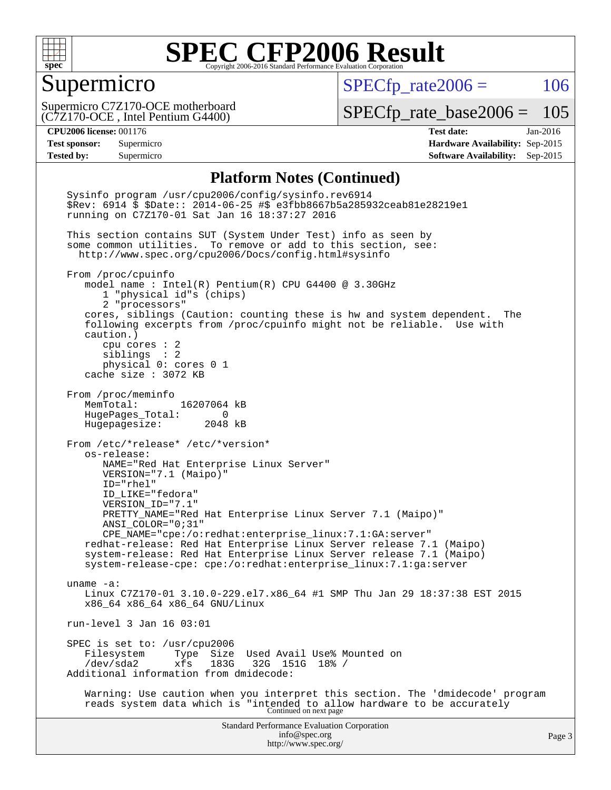

### Supermicro

 $SPECTp\_rate2006 = 106$ 

(C7Z170-OCE , Intel Pentium G4400) Supermicro C7Z170-OCE motherboard

[SPECfp\\_rate\\_base2006 =](http://www.spec.org/auto/cpu2006/Docs/result-fields.html#SPECfpratebase2006) 105

**[CPU2006 license:](http://www.spec.org/auto/cpu2006/Docs/result-fields.html#CPU2006license)** 001176 **[Test date:](http://www.spec.org/auto/cpu2006/Docs/result-fields.html#Testdate)** Jan-2016 **[Test sponsor:](http://www.spec.org/auto/cpu2006/Docs/result-fields.html#Testsponsor)** Supermicro **[Hardware Availability:](http://www.spec.org/auto/cpu2006/Docs/result-fields.html#HardwareAvailability)** Sep-2015 **[Tested by:](http://www.spec.org/auto/cpu2006/Docs/result-fields.html#Testedby)** Supermicro **Supermicro [Software Availability:](http://www.spec.org/auto/cpu2006/Docs/result-fields.html#SoftwareAvailability)** Sep-2015

#### **[Platform Notes \(Continued\)](http://www.spec.org/auto/cpu2006/Docs/result-fields.html#PlatformNotes)**

Standard Performance Evaluation Corporation [info@spec.org](mailto:info@spec.org) <http://www.spec.org/> Page 3 Sysinfo program /usr/cpu2006/config/sysinfo.rev6914 \$Rev: 6914 \$ \$Date:: 2014-06-25 #\$ e3fbb8667b5a285932ceab81e28219e1 running on C7Z170-01 Sat Jan 16 18:37:27 2016 This section contains SUT (System Under Test) info as seen by some common utilities. To remove or add to this section, see: <http://www.spec.org/cpu2006/Docs/config.html#sysinfo> From /proc/cpuinfo model name : Intel(R) Pentium(R) CPU G4400 @ 3.30GHz 1 "physical id"s (chips) 2 "processors" cores, siblings (Caution: counting these is hw and system dependent. The following excerpts from /proc/cpuinfo might not be reliable. Use with caution.) cpu cores : 2 siblings : 2 physical 0: cores 0 1 cache size : 3072 KB From /proc/meminfo MemTotal: 16207064 kB HugePages\_Total: 0 Hugepagesize: 2048 kB From /etc/\*release\* /etc/\*version\* os-release: NAME="Red Hat Enterprise Linux Server" VERSION="7.1 (Maipo)" ID="rhel" ID\_LIKE="fedora" VERSION\_ID="7.1" PRETTY\_NAME="Red Hat Enterprise Linux Server 7.1 (Maipo)" ANSI\_COLOR="0;31" CPE\_NAME="cpe:/o:redhat:enterprise\_linux:7.1:GA:server" redhat-release: Red Hat Enterprise Linux Server release 7.1 (Maipo) system-release: Red Hat Enterprise Linux Server release 7.1 (Maipo) system-release-cpe: cpe:/o:redhat:enterprise\_linux:7.1:ga:server uname -a: Linux C7Z170-01 3.10.0-229.el7.x86\_64 #1 SMP Thu Jan 29 18:37:38 EST 2015 x86\_64 x86\_64 x86\_64 GNU/Linux run-level 3 Jan 16 03:01 SPEC is set to: /usr/cpu2006<br>Filesystem Type Size Filesystem Type Size Used Avail Use% Mounted on<br>/dev/sda2 xfs 183G 32G 151G 18% / /dev/sda2 xfs 183G 32G 151G 18% / Additional information from dmidecode: Warning: Use caution when you interpret this section. The 'dmidecode' program reads system data which is "intended to allow hardware to be accurately Continued on next page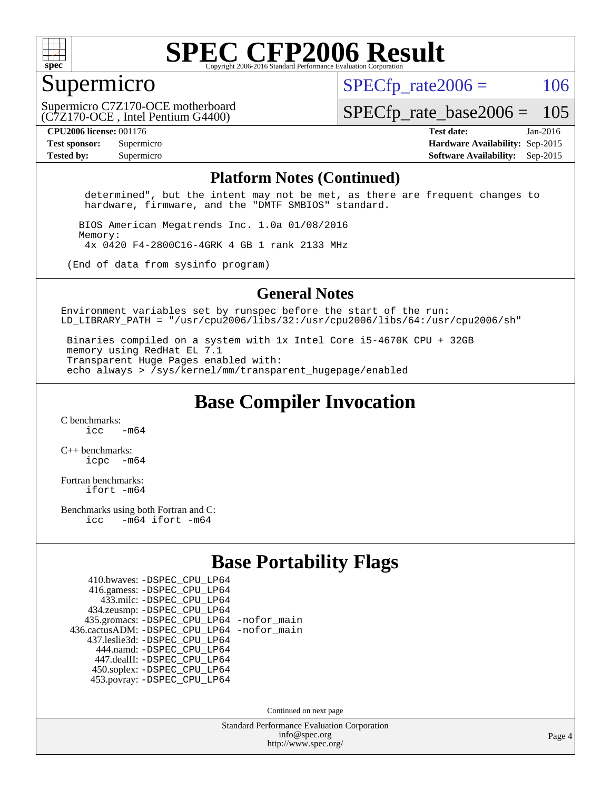

### Supermicro

 $SPECTp\_rate2006 = 106$ 

(C7Z170-OCE , Intel Pentium G4400) Supermicro C7Z170-OCE motherboard

[SPECfp\\_rate\\_base2006 =](http://www.spec.org/auto/cpu2006/Docs/result-fields.html#SPECfpratebase2006) 105

**[CPU2006 license:](http://www.spec.org/auto/cpu2006/Docs/result-fields.html#CPU2006license)** 001176 **[Test date:](http://www.spec.org/auto/cpu2006/Docs/result-fields.html#Testdate)** Jan-2016 **[Test sponsor:](http://www.spec.org/auto/cpu2006/Docs/result-fields.html#Testsponsor)** Supermicro **[Hardware Availability:](http://www.spec.org/auto/cpu2006/Docs/result-fields.html#HardwareAvailability)** Sep-2015 **[Tested by:](http://www.spec.org/auto/cpu2006/Docs/result-fields.html#Testedby)** Supermicro **Supermicro [Software Availability:](http://www.spec.org/auto/cpu2006/Docs/result-fields.html#SoftwareAvailability)** Sep-2015

#### **[Platform Notes \(Continued\)](http://www.spec.org/auto/cpu2006/Docs/result-fields.html#PlatformNotes)**

 determined", but the intent may not be met, as there are frequent changes to hardware, firmware, and the "DMTF SMBIOS" standard.

 BIOS American Megatrends Inc. 1.0a 01/08/2016 Memory: 4x 0420 F4-2800C16-4GRK 4 GB 1 rank 2133 MHz

(End of data from sysinfo program)

#### **[General Notes](http://www.spec.org/auto/cpu2006/Docs/result-fields.html#GeneralNotes)**

Environment variables set by runspec before the start of the run: LD LIBRARY PATH = "/usr/cpu2006/libs/32:/usr/cpu2006/libs/64:/usr/cpu2006/sh"

 Binaries compiled on a system with 1x Intel Core i5-4670K CPU + 32GB memory using RedHat EL 7.1 Transparent Huge Pages enabled with: echo always > /sys/kernel/mm/transparent\_hugepage/enabled

**[Base Compiler Invocation](http://www.spec.org/auto/cpu2006/Docs/result-fields.html#BaseCompilerInvocation)**

[C benchmarks](http://www.spec.org/auto/cpu2006/Docs/result-fields.html#Cbenchmarks):  $\frac{1}{2}$  cc  $-$  m64

[C++ benchmarks:](http://www.spec.org/auto/cpu2006/Docs/result-fields.html#CXXbenchmarks) [icpc -m64](http://www.spec.org/cpu2006/results/res2016q1/cpu2006-20160120-38712.flags.html#user_CXXbase_intel_icpc_64bit_bedb90c1146cab66620883ef4f41a67e)

[Fortran benchmarks](http://www.spec.org/auto/cpu2006/Docs/result-fields.html#Fortranbenchmarks): [ifort -m64](http://www.spec.org/cpu2006/results/res2016q1/cpu2006-20160120-38712.flags.html#user_FCbase_intel_ifort_64bit_ee9d0fb25645d0210d97eb0527dcc06e)

[Benchmarks using both Fortran and C](http://www.spec.org/auto/cpu2006/Docs/result-fields.html#BenchmarksusingbothFortranandC): [icc -m64](http://www.spec.org/cpu2006/results/res2016q1/cpu2006-20160120-38712.flags.html#user_CC_FCbase_intel_icc_64bit_0b7121f5ab7cfabee23d88897260401c) [ifort -m64](http://www.spec.org/cpu2006/results/res2016q1/cpu2006-20160120-38712.flags.html#user_CC_FCbase_intel_ifort_64bit_ee9d0fb25645d0210d97eb0527dcc06e)

### **[Base Portability Flags](http://www.spec.org/auto/cpu2006/Docs/result-fields.html#BasePortabilityFlags)**

| 410.bwaves: - DSPEC CPU LP64                 |  |
|----------------------------------------------|--|
| 416.gamess: -DSPEC_CPU_LP64                  |  |
| 433.milc: - DSPEC_CPU LP64                   |  |
| 434.zeusmp: -DSPEC_CPU_LP64                  |  |
| 435.gromacs: -DSPEC_CPU_LP64 -nofor_main     |  |
| 436.cactusADM: - DSPEC CPU LP64 - nofor main |  |
| 437.leslie3d: -DSPEC CPU LP64                |  |
| 444.namd: - DSPEC_CPU_LP64                   |  |
| 447.dealII: -DSPEC CPU LP64                  |  |
| 450.soplex: -DSPEC_CPU_LP64                  |  |
| 453.povray: -DSPEC CPU LP64                  |  |

Continued on next page

Standard Performance Evaluation Corporation [info@spec.org](mailto:info@spec.org) <http://www.spec.org/>

Page 4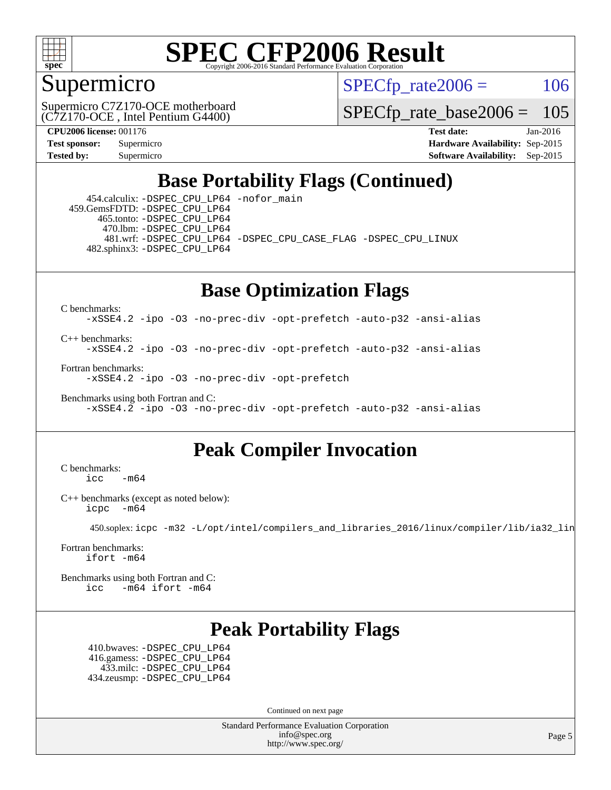

## Supermicro

 $SPECTp\_rate2006 = 106$ 

(C7Z170-OCE , Intel Pentium G4400) Supermicro C7Z170-OCE motherboard

[SPECfp\\_rate\\_base2006 =](http://www.spec.org/auto/cpu2006/Docs/result-fields.html#SPECfpratebase2006) 105

**[CPU2006 license:](http://www.spec.org/auto/cpu2006/Docs/result-fields.html#CPU2006license)** 001176 **[Test date:](http://www.spec.org/auto/cpu2006/Docs/result-fields.html#Testdate)** Jan-2016 **[Test sponsor:](http://www.spec.org/auto/cpu2006/Docs/result-fields.html#Testsponsor)** Supermicro **[Hardware Availability:](http://www.spec.org/auto/cpu2006/Docs/result-fields.html#HardwareAvailability)** Sep-2015 **[Tested by:](http://www.spec.org/auto/cpu2006/Docs/result-fields.html#Testedby)** Supermicro **Supermicro [Software Availability:](http://www.spec.org/auto/cpu2006/Docs/result-fields.html#SoftwareAvailability)** Sep-2015

## **[Base Portability Flags \(Continued\)](http://www.spec.org/auto/cpu2006/Docs/result-fields.html#BasePortabilityFlags)**

 454.calculix: [-DSPEC\\_CPU\\_LP64](http://www.spec.org/cpu2006/results/res2016q1/cpu2006-20160120-38712.flags.html#suite_basePORTABILITY454_calculix_DSPEC_CPU_LP64) [-nofor\\_main](http://www.spec.org/cpu2006/results/res2016q1/cpu2006-20160120-38712.flags.html#user_baseLDPORTABILITY454_calculix_f-nofor_main) 459.GemsFDTD: [-DSPEC\\_CPU\\_LP64](http://www.spec.org/cpu2006/results/res2016q1/cpu2006-20160120-38712.flags.html#suite_basePORTABILITY459_GemsFDTD_DSPEC_CPU_LP64) 465.tonto: [-DSPEC\\_CPU\\_LP64](http://www.spec.org/cpu2006/results/res2016q1/cpu2006-20160120-38712.flags.html#suite_basePORTABILITY465_tonto_DSPEC_CPU_LP64) 470.lbm: [-DSPEC\\_CPU\\_LP64](http://www.spec.org/cpu2006/results/res2016q1/cpu2006-20160120-38712.flags.html#suite_basePORTABILITY470_lbm_DSPEC_CPU_LP64) 481.wrf: [-DSPEC\\_CPU\\_LP64](http://www.spec.org/cpu2006/results/res2016q1/cpu2006-20160120-38712.flags.html#suite_basePORTABILITY481_wrf_DSPEC_CPU_LP64) [-DSPEC\\_CPU\\_CASE\\_FLAG](http://www.spec.org/cpu2006/results/res2016q1/cpu2006-20160120-38712.flags.html#b481.wrf_baseCPORTABILITY_DSPEC_CPU_CASE_FLAG) [-DSPEC\\_CPU\\_LINUX](http://www.spec.org/cpu2006/results/res2016q1/cpu2006-20160120-38712.flags.html#b481.wrf_baseCPORTABILITY_DSPEC_CPU_LINUX) 482.sphinx3: [-DSPEC\\_CPU\\_LP64](http://www.spec.org/cpu2006/results/res2016q1/cpu2006-20160120-38712.flags.html#suite_basePORTABILITY482_sphinx3_DSPEC_CPU_LP64)

## **[Base Optimization Flags](http://www.spec.org/auto/cpu2006/Docs/result-fields.html#BaseOptimizationFlags)**

[C benchmarks](http://www.spec.org/auto/cpu2006/Docs/result-fields.html#Cbenchmarks):

[-xSSE4.2](http://www.spec.org/cpu2006/results/res2016q1/cpu2006-20160120-38712.flags.html#user_CCbase_f-xSSE42_f91528193cf0b216347adb8b939d4107) [-ipo](http://www.spec.org/cpu2006/results/res2016q1/cpu2006-20160120-38712.flags.html#user_CCbase_f-ipo) [-O3](http://www.spec.org/cpu2006/results/res2016q1/cpu2006-20160120-38712.flags.html#user_CCbase_f-O3) [-no-prec-div](http://www.spec.org/cpu2006/results/res2016q1/cpu2006-20160120-38712.flags.html#user_CCbase_f-no-prec-div) [-opt-prefetch](http://www.spec.org/cpu2006/results/res2016q1/cpu2006-20160120-38712.flags.html#user_CCbase_f-opt-prefetch) [-auto-p32](http://www.spec.org/cpu2006/results/res2016q1/cpu2006-20160120-38712.flags.html#user_CCbase_f-auto-p32) [-ansi-alias](http://www.spec.org/cpu2006/results/res2016q1/cpu2006-20160120-38712.flags.html#user_CCbase_f-ansi-alias)

[C++ benchmarks:](http://www.spec.org/auto/cpu2006/Docs/result-fields.html#CXXbenchmarks)

[-xSSE4.2](http://www.spec.org/cpu2006/results/res2016q1/cpu2006-20160120-38712.flags.html#user_CXXbase_f-xSSE42_f91528193cf0b216347adb8b939d4107) [-ipo](http://www.spec.org/cpu2006/results/res2016q1/cpu2006-20160120-38712.flags.html#user_CXXbase_f-ipo) [-O3](http://www.spec.org/cpu2006/results/res2016q1/cpu2006-20160120-38712.flags.html#user_CXXbase_f-O3) [-no-prec-div](http://www.spec.org/cpu2006/results/res2016q1/cpu2006-20160120-38712.flags.html#user_CXXbase_f-no-prec-div) [-opt-prefetch](http://www.spec.org/cpu2006/results/res2016q1/cpu2006-20160120-38712.flags.html#user_CXXbase_f-opt-prefetch) [-auto-p32](http://www.spec.org/cpu2006/results/res2016q1/cpu2006-20160120-38712.flags.html#user_CXXbase_f-auto-p32) [-ansi-alias](http://www.spec.org/cpu2006/results/res2016q1/cpu2006-20160120-38712.flags.html#user_CXXbase_f-ansi-alias)

[Fortran benchmarks](http://www.spec.org/auto/cpu2006/Docs/result-fields.html#Fortranbenchmarks): [-xSSE4.2](http://www.spec.org/cpu2006/results/res2016q1/cpu2006-20160120-38712.flags.html#user_FCbase_f-xSSE42_f91528193cf0b216347adb8b939d4107) [-ipo](http://www.spec.org/cpu2006/results/res2016q1/cpu2006-20160120-38712.flags.html#user_FCbase_f-ipo) [-O3](http://www.spec.org/cpu2006/results/res2016q1/cpu2006-20160120-38712.flags.html#user_FCbase_f-O3) [-no-prec-div](http://www.spec.org/cpu2006/results/res2016q1/cpu2006-20160120-38712.flags.html#user_FCbase_f-no-prec-div) [-opt-prefetch](http://www.spec.org/cpu2006/results/res2016q1/cpu2006-20160120-38712.flags.html#user_FCbase_f-opt-prefetch)

[Benchmarks using both Fortran and C](http://www.spec.org/auto/cpu2006/Docs/result-fields.html#BenchmarksusingbothFortranandC): [-xSSE4.2](http://www.spec.org/cpu2006/results/res2016q1/cpu2006-20160120-38712.flags.html#user_CC_FCbase_f-xSSE42_f91528193cf0b216347adb8b939d4107) [-ipo](http://www.spec.org/cpu2006/results/res2016q1/cpu2006-20160120-38712.flags.html#user_CC_FCbase_f-ipo) [-O3](http://www.spec.org/cpu2006/results/res2016q1/cpu2006-20160120-38712.flags.html#user_CC_FCbase_f-O3) [-no-prec-div](http://www.spec.org/cpu2006/results/res2016q1/cpu2006-20160120-38712.flags.html#user_CC_FCbase_f-no-prec-div) [-opt-prefetch](http://www.spec.org/cpu2006/results/res2016q1/cpu2006-20160120-38712.flags.html#user_CC_FCbase_f-opt-prefetch) [-auto-p32](http://www.spec.org/cpu2006/results/res2016q1/cpu2006-20160120-38712.flags.html#user_CC_FCbase_f-auto-p32) [-ansi-alias](http://www.spec.org/cpu2006/results/res2016q1/cpu2006-20160120-38712.flags.html#user_CC_FCbase_f-ansi-alias)

## **[Peak Compiler Invocation](http://www.spec.org/auto/cpu2006/Docs/result-fields.html#PeakCompilerInvocation)**

[C benchmarks](http://www.spec.org/auto/cpu2006/Docs/result-fields.html#Cbenchmarks):  $\text{icc}$  -m64

[C++ benchmarks \(except as noted below\):](http://www.spec.org/auto/cpu2006/Docs/result-fields.html#CXXbenchmarksexceptasnotedbelow) [icpc -m64](http://www.spec.org/cpu2006/results/res2016q1/cpu2006-20160120-38712.flags.html#user_CXXpeak_intel_icpc_64bit_bedb90c1146cab66620883ef4f41a67e)

450.soplex: [icpc -m32 -L/opt/intel/compilers\\_and\\_libraries\\_2016/linux/compiler/lib/ia32\\_lin](http://www.spec.org/cpu2006/results/res2016q1/cpu2006-20160120-38712.flags.html#user_peakCXXLD450_soplex_intel_icpc_b4f50a394bdb4597aa5879c16bc3f5c5)

[Fortran benchmarks](http://www.spec.org/auto/cpu2006/Docs/result-fields.html#Fortranbenchmarks): [ifort -m64](http://www.spec.org/cpu2006/results/res2016q1/cpu2006-20160120-38712.flags.html#user_FCpeak_intel_ifort_64bit_ee9d0fb25645d0210d97eb0527dcc06e)

[Benchmarks using both Fortran and C](http://www.spec.org/auto/cpu2006/Docs/result-fields.html#BenchmarksusingbothFortranandC): [icc -m64](http://www.spec.org/cpu2006/results/res2016q1/cpu2006-20160120-38712.flags.html#user_CC_FCpeak_intel_icc_64bit_0b7121f5ab7cfabee23d88897260401c) [ifort -m64](http://www.spec.org/cpu2006/results/res2016q1/cpu2006-20160120-38712.flags.html#user_CC_FCpeak_intel_ifort_64bit_ee9d0fb25645d0210d97eb0527dcc06e)

## **[Peak Portability Flags](http://www.spec.org/auto/cpu2006/Docs/result-fields.html#PeakPortabilityFlags)**

 410.bwaves: [-DSPEC\\_CPU\\_LP64](http://www.spec.org/cpu2006/results/res2016q1/cpu2006-20160120-38712.flags.html#suite_peakPORTABILITY410_bwaves_DSPEC_CPU_LP64) 416.gamess: [-DSPEC\\_CPU\\_LP64](http://www.spec.org/cpu2006/results/res2016q1/cpu2006-20160120-38712.flags.html#suite_peakPORTABILITY416_gamess_DSPEC_CPU_LP64) 433.milc: [-DSPEC\\_CPU\\_LP64](http://www.spec.org/cpu2006/results/res2016q1/cpu2006-20160120-38712.flags.html#suite_peakPORTABILITY433_milc_DSPEC_CPU_LP64) 434.zeusmp: [-DSPEC\\_CPU\\_LP64](http://www.spec.org/cpu2006/results/res2016q1/cpu2006-20160120-38712.flags.html#suite_peakPORTABILITY434_zeusmp_DSPEC_CPU_LP64)

Continued on next page

Standard Performance Evaluation Corporation [info@spec.org](mailto:info@spec.org) <http://www.spec.org/>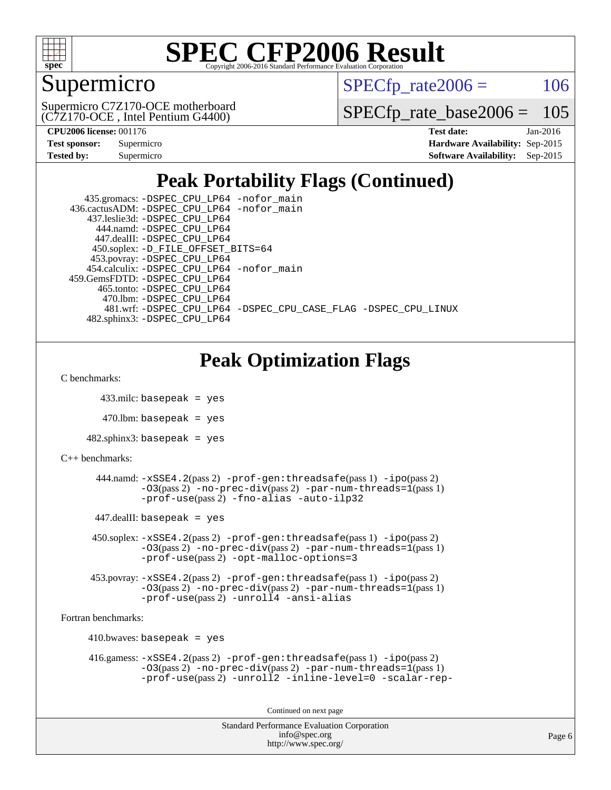

## Supermicro

 $SPECTp\_rate2006 = 106$ 

(C7Z170-OCE , Intel Pentium G4400) Supermicro C7Z170-OCE motherboard

[SPECfp\\_rate\\_base2006 =](http://www.spec.org/auto/cpu2006/Docs/result-fields.html#SPECfpratebase2006) 105

| <b>Test sponsor:</b> | Supermicro |
|----------------------|------------|
| <b>Tested by:</b>    | Supermicro |

**[CPU2006 license:](http://www.spec.org/auto/cpu2006/Docs/result-fields.html#CPU2006license)** 001176 **[Test date:](http://www.spec.org/auto/cpu2006/Docs/result-fields.html#Testdate)** Jan-2016 **[Hardware Availability:](http://www.spec.org/auto/cpu2006/Docs/result-fields.html#HardwareAvailability)** Sep-2015 **[Software Availability:](http://www.spec.org/auto/cpu2006/Docs/result-fields.html#SoftwareAvailability)** Sep-2015

## **[Peak Portability Flags \(Continued\)](http://www.spec.org/auto/cpu2006/Docs/result-fields.html#PeakPortabilityFlags)**

| 435.gromacs: -DSPEC_CPU_LP64 -nofor_main                       |
|----------------------------------------------------------------|
| 436.cactusADM: -DSPEC CPU LP64 -nofor main                     |
| 437.leslie3d: -DSPEC CPU LP64                                  |
| 444.namd: -DSPEC CPU LP64                                      |
| 447.dealII: -DSPEC CPU LP64                                    |
| 450.soplex: -D_FILE_OFFSET_BITS=64                             |
| 453.povray: -DSPEC_CPU_LP64                                    |
| 454.calculix: -DSPEC CPU LP64 -nofor main                      |
| 459.GemsFDTD: - DSPEC_CPU_LP64                                 |
| 465.tonto: -DSPEC CPU LP64                                     |
| 470.1bm: - DSPEC CPU LP64                                      |
| 481.wrf: -DSPEC CPU_LP64 -DSPEC_CPU_CASE_FLAG -DSPEC_CPU_LINUX |
| 482.sphinx3: -DSPEC CPU LP64                                   |

## **[Peak Optimization Flags](http://www.spec.org/auto/cpu2006/Docs/result-fields.html#PeakOptimizationFlags)**

[C benchmarks](http://www.spec.org/auto/cpu2006/Docs/result-fields.html#Cbenchmarks):

433.milc: basepeak = yes

 $470$ .lbm: basepeak = yes

 $482$ .sphinx3: basepeak = yes

[C++ benchmarks:](http://www.spec.org/auto/cpu2006/Docs/result-fields.html#CXXbenchmarks)

```
 444.namd: -xSSE4.2(pass 2) -prof-gen:threadsafe(pass 1) -ipo(pass 2)
-O3(pass 2) -no-prec-div(pass 2) -par-num-threads=1(pass 1)
-prof-use(pass 2) -fno-alias -auto-ilp32
```
 $447$ .dealII: basepeak = yes

 450.soplex: [-xSSE4.2](http://www.spec.org/cpu2006/results/res2016q1/cpu2006-20160120-38712.flags.html#user_peakPASS2_CXXFLAGSPASS2_LDFLAGS450_soplex_f-xSSE42_f91528193cf0b216347adb8b939d4107)(pass 2) [-prof-gen:threadsafe](http://www.spec.org/cpu2006/results/res2016q1/cpu2006-20160120-38712.flags.html#user_peakPASS1_CXXFLAGSPASS1_LDFLAGS450_soplex_prof_gen_21a26eb79f378b550acd7bec9fe4467a)(pass 1) [-ipo](http://www.spec.org/cpu2006/results/res2016q1/cpu2006-20160120-38712.flags.html#user_peakPASS2_CXXFLAGSPASS2_LDFLAGS450_soplex_f-ipo)(pass 2) [-O3](http://www.spec.org/cpu2006/results/res2016q1/cpu2006-20160120-38712.flags.html#user_peakPASS2_CXXFLAGSPASS2_LDFLAGS450_soplex_f-O3)(pass 2) [-no-prec-div](http://www.spec.org/cpu2006/results/res2016q1/cpu2006-20160120-38712.flags.html#user_peakPASS2_CXXFLAGSPASS2_LDFLAGS450_soplex_f-no-prec-div)(pass 2) [-par-num-threads=1](http://www.spec.org/cpu2006/results/res2016q1/cpu2006-20160120-38712.flags.html#user_peakPASS1_CXXFLAGSPASS1_LDFLAGS450_soplex_par_num_threads_786a6ff141b4e9e90432e998842df6c2)(pass 1) [-prof-use](http://www.spec.org/cpu2006/results/res2016q1/cpu2006-20160120-38712.flags.html#user_peakPASS2_CXXFLAGSPASS2_LDFLAGS450_soplex_prof_use_bccf7792157ff70d64e32fe3e1250b55)(pass 2) [-opt-malloc-options=3](http://www.spec.org/cpu2006/results/res2016q1/cpu2006-20160120-38712.flags.html#user_peakOPTIMIZE450_soplex_f-opt-malloc-options_13ab9b803cf986b4ee62f0a5998c2238)

```
 453.povray: -xSSE4.2(pass 2) -prof-gen:threadsafe(pass 1) -ipo(pass 2)
-03(pass 2) --par-num-threads=1(pass 1)
-prof-use(pass 2) -unroll4 -ansi-alias
```
[Fortran benchmarks](http://www.spec.org/auto/cpu2006/Docs/result-fields.html#Fortranbenchmarks):

```
410.bwaves: basepeak = yes 416.gamess: -xSSE4.2(pass 2) -prof-gen:threadsafe(pass 1) -ipo(pass 2)
  -O3(pass 2) -no-prec-div(pass 2) -par-num-threads=1(pass 1)
  -prof-use(pass 2) -unroll2 -inline-level=0 -scalar-rep-
```
Continued on next page

```
Standard Performance Evaluation Corporation
     info@spec.org
   http://www.spec.org/
```